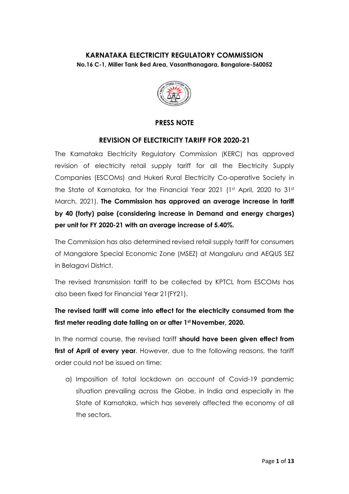### **KARNATAKA ELECTRICITY REGULATORY COMMISSION No.16 C-1, Miller Tank Bed Area, Vasanthanagara, Bangalore-560052**



### **PRESS NOTE**

### **REVISION OF ELECTRICITY TARIFF FOR 2020-21**

The Karnataka Electricity Regulatory Commission (KERC) has approved revision of electricity retail supply tariff for all the Electricity Supply Companies (ESCOMs) and Hukeri Rural Electricity Co-operative Society in the State of Karnataka, for the Financial Year 2021 (1st April, 2020 to 31st March, 2021). **The Commission has approved an average increase in tariff by 40 (forty) paise (considering increase in Demand and energy charges) per unit for FY 2020-21 with an average increase of 5.40%.** 

The Commission has also determined revised retail supply tariff for consumers of Mangalore Special Economic Zone (MSEZ) at Mangaluru and AEQUS SEZ in Belagavi District.

The revised transmission tariff to be collected by KPTCL from ESCOMs has also been fixed for Financial Year 21(FY21).

**The revised tariff will come into effect for the electricity consumed from the first meter reading date falling on or after 1st November, 2020.**

In the normal course, the revised tariff **should have been given effect from**  first of April of every year. However, due to the following reasons, the tariff order could not be issued on time:

a) Imposition of total lockdown on account of Covid-19 pandemic situation prevailing across the Globe, in India and especially in the State of Karnataka, which has severely affected the economy of all the sectors.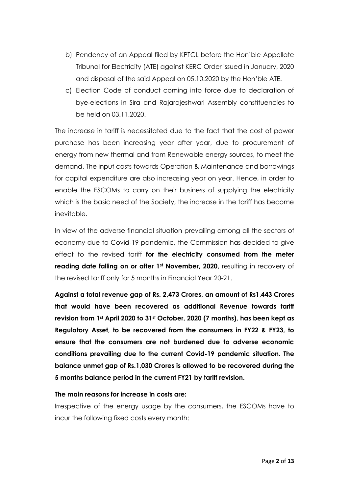- b) Pendency of an Appeal filed by KPTCL before the Hon'ble Appellate Tribunal for Electricity (ATE) against KERC Order issued in January, 2020 and disposal of the said Appeal on 05.10.2020 by the Hon'ble ATE.
- c) Election Code of conduct coming into force due to declaration of bye-elections in Sira and Rajarajeshwari Assembly constituencies to be held on 03.11.2020.

The increase in tariff is necessitated due to the fact that the cost of power purchase has been increasing year after year, due to procurement of energy from new thermal and from Renewable energy sources, to meet the demand. The input costs towards Operation & Maintenance and borrowings for capital expenditure are also increasing year on year. Hence, in order to enable the ESCOMs to carry on their business of supplying the electricity which is the basic need of the Society, the increase in the tariff has become inevitable.

In view of the adverse financial situation prevailing among all the sectors of economy due to Covid-19 pandemic, the Commission has decided to give effect to the revised tariff **for the electricity consumed from the meter reading date falling on or after 1st November, 2020,** resulting in recovery of the revised tariff only for 5 months in Financial Year 20-21.

**Against a total revenue gap of Rs. 2,473 Crores, an amount of Rs1,443 Crores that would have been recovered as additional Revenue towards tariff revision from 1st April 2020 to 31st October, 2020 (7 months), has been kept as Regulatory Asset, to be recovered from the consumers in FY22 & FY23, to ensure that the consumers are not burdened due to adverse economic conditions prevailing due to the current Covid-19 pandemic situation. The balance unmet gap of Rs.1,030 Crores is allowed to be recovered during the 5 months balance period in the current FY21 by tariff revision.**

#### **The main reasons for increase in costs are:**

Irrespective of the energy usage by the consumers, the ESCOMs have to incur the following fixed costs every month: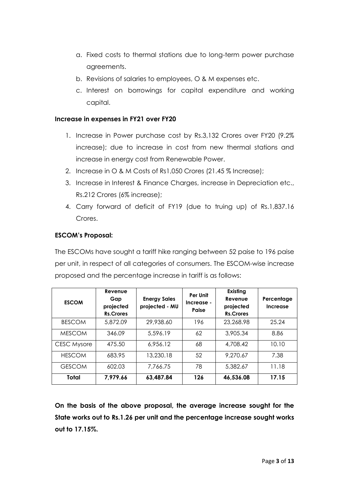- a. Fixed costs to thermal stations due to long-term power purchase agreements.
- b. Revisions of salaries to employees, O & M expenses etc.
- c. Interest on borrowings for capital expenditure and working capital.

#### **Increase in expenses in FY21 over FY20**

- 1. Increase in Power purchase cost by Rs.3,132 Crores over FY20 (9.2% increase); due to increase in cost from new thermal stations and increase in energy cost from Renewable Power.
- 2. Increase in O & M Costs of Rs1,050 Crores (21.45 % Increase);
- 3. Increase in Interest & Finance Charges, increase in Depreciation etc., Rs.212 Crores (6% increase);
- 4. Carry forward of deficit of FY19 (due to truing up) of Rs.1,837.16 Crores.

### **ESCOM's Proposal:**

The ESCOMs have sought a tariff hike ranging between 52 paise to 196 paise per unit, in respect of all categories of consumers. The ESCOM-wise increase proposed and the percentage increase in tariff is as follows:

| <b>ESCOM</b>       | Revenue<br>Gap<br>projected<br><b>Rs.Crores</b> | <b>Energy Sales</b><br>projected - MU | Per Unit<br>Increase -<br>Paise | Existing<br>Revenue<br>projected<br><b>Rs.Crores</b> | Percentage<br><b>Increase</b> |
|--------------------|-------------------------------------------------|---------------------------------------|---------------------------------|------------------------------------------------------|-------------------------------|
| <b>BESCOM</b>      | 5,872.09                                        | 29,938.60                             | 196                             | 23,268.98                                            | 25.24                         |
| <b>MESCOM</b>      | 346.09                                          | 5,596.19                              | 62                              | 3,905.34                                             | 8.86                          |
| <b>CESC Mysore</b> | 475.50                                          | 6,956.12                              | 68                              | 4,708.42                                             | 10.10                         |
| <b>HESCOM</b>      | 683.95                                          | 13,230.18                             | 52                              | 9,270.67                                             | 7.38                          |
| <b>GESCOM</b>      | 602.03                                          | 7.766.75                              | 78                              | 5,382.67                                             | 11.18                         |
| Total              | 7,979.66                                        | 63,487.84                             | 126                             | 46,536.08                                            | 17.15                         |

**On the basis of the above proposal, the average increase sought for the State works out to Rs.1.26 per unit and the percentage increase sought works out to 17.15%.**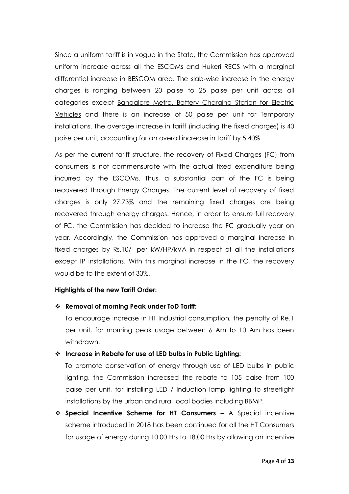Since a uniform tariff is in vogue in the State, the Commission has approved uniform increase across all the ESCOMs and Hukeri RECS with a marginal differential increase in BESCOM area. The slab-wise increase in the energy charges is ranging between 20 paise to 25 paise per unit across all categories except Bangalore Metro, Battery Charging Station for Electric Vehicles and there is an increase of 50 paise per unit for Temporary installations. The average increase in tariff (including the fixed charges) is 40 paise per unit, accounting for an overall increase in tariff by 5.40%.

As per the current tariff structure, the recovery of Fixed Charges (FC) from consumers is not commensurate with the actual fixed expenditure being incurred by the ESCOMs. Thus, a substantial part of the FC is being recovered through Energy Charges. The current level of recovery of fixed charges is only 27.73% and the remaining fixed charges are being recovered through energy charges. Hence, in order to ensure full recovery of FC, the Commission has decided to increase the FC gradually year on year. Accordingly, the Commission has approved a marginal increase in fixed charges by Rs.10/- per kW/HP/kVA in respect of all the installations except IP installations. With this marginal increase in the FC, the recovery would be to the extent of 33%.

#### **Highlights of the new Tariff Order:**

### **Removal of morning Peak under ToD Tariff:**

To encourage increase in HT Industrial consumption, the penalty of Re.1 per unit, for morning peak usage between 6 Am to 10 Am has been withdrawn.

### **Increase in Rebate for use of LED bulbs in Public Lighting:**

To promote conservation of energy through use of LED bulbs in public lighting, the Commission increased the rebate to 105 paise from 100 paise per unit, for installing LED / Induction lamp lighting to streetlight installations by the urban and rural local bodies including BBMP.

 **Special Incentive Scheme for HT Consumers –** A Special incentive scheme introduced in 2018 has been continued for all the HT Consumers for usage of energy during 10.00 Hrs to 18.00 Hrs by allowing an incentive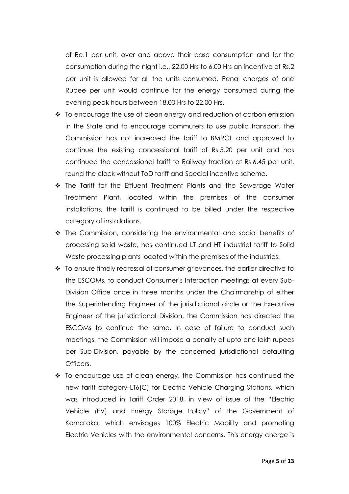of Re.1 per unit, over and above their base consumption and for the consumption during the night i.e., 22.00 Hrs to 6.00 Hrs an incentive of Rs.2 per unit is allowed for all the units consumed. Penal charges of one Rupee per unit would continue for the energy consumed during the evening peak hours between 18.00 Hrs to 22.00 Hrs.

- $\cdot$  To encourage the use of clean energy and reduction of carbon emission in the State and to encourage commuters to use public transport, the Commission has not increased the tariff to BMRCL and approved to continue the existing concessional tariff of Rs.5.20 per unit and has continued the concessional tariff to Railway traction at Rs.6.45 per unit, round the clock without ToD tariff and Special incentive scheme.
- $\cdot \cdot$  The Tariff for the Effluent Treatment Plants and the Sewerage Water Treatment Plant, located within the premises of the consumer installations, the tariff is continued to be billed under the respective category of installations.
- $\cdot \cdot$  The Commission, considering the environmental and social benefits of processing solid waste, has continued LT and HT industrial tariff to Solid Waste processing plants located within the premises of the industries.
- To ensure timely redressal of consumer grievances, the earlier directive to the ESCOMs, to conduct Consumer's Interaction meetings at every Sub-Division Office once in three months under the Chairmanship of either the Superintending Engineer of the jurisdictional circle or the Executive Engineer of the jurisdictional Division, the Commission has directed the ESCOMs to continue the same. In case of failure to conduct such meetings, the Commission will impose a penalty of upto one lakh rupees per Sub-Division, payable by the concerned jurisdictional defaulting Officers.
- To encourage use of clean energy, the Commission has continued the new tariff category LT6(C) for Electric Vehicle Charging Stations, which was introduced in Tariff Order 2018, in view of issue of the "Electric Vehicle (EV) and Energy Storage Policy" of the Government of Karnataka, which envisages 100% Electric Mobility and promoting Electric Vehicles with the environmental concerns. This energy charge is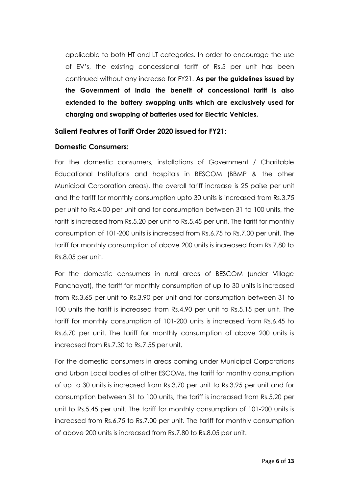applicable to both HT and LT categories. In order to encourage the use of EV's, the existing concessional tariff of Rs.5 per unit has been continued without any increase for FY21. **As per the guidelines issued by the Government of India the benefit of concessional tariff is also extended to the battery swapping units which are exclusively used for charging and swapping of batteries used for Electric Vehicles.**

### **Salient Features of Tariff Order 2020 issued for FY21:**

### **Domestic Consumers:**

For the domestic consumers, installations of Government / Charitable Educational Institutions and hospitals in BESCOM (BBMP & the other Municipal Corporation areas), the overall tariff increase is 25 paise per unit and the tariff for monthly consumption upto 30 units is increased from Rs.3.75 per unit to Rs.4.00 per unit and for consumption between 31 to 100 units, the tariff is increased from Rs.5.20 per unit to Rs.5.45 per unit. The tariff for monthly consumption of 101-200 units is increased from Rs.6.75 to Rs.7.00 per unit. The tariff for monthly consumption of above 200 units is increased from Rs.7.80 to Rs.8.05 per unit.

For the domestic consumers in rural areas of BESCOM (under Village Panchayat), the tariff for monthly consumption of up to 30 units is increased from Rs.3.65 per unit to Rs.3.90 per unit and for consumption between 31 to 100 units the tariff is increased from Rs.4.90 per unit to Rs.5.15 per unit. The tariff for monthly consumption of 101-200 units is increased from Rs.6.45 to Rs.6.70 per unit. The tariff for monthly consumption of above 200 units is increased from Rs.7.30 to Rs.7.55 per unit.

For the domestic consumers in areas coming under Municipal Corporations and Urban Local bodies of other ESCOMs, the tariff for monthly consumption of up to 30 units is increased from Rs.3.70 per unit to Rs.3.95 per unit and for consumption between 31 to 100 units, the tariff is increased from Rs.5.20 per unit to Rs.5.45 per unit. The tariff for monthly consumption of 101-200 units is increased from Rs.6.75 to Rs.7.00 per unit. The tariff for monthly consumption of above 200 units is increased from Rs.7.80 to Rs.8.05 per unit.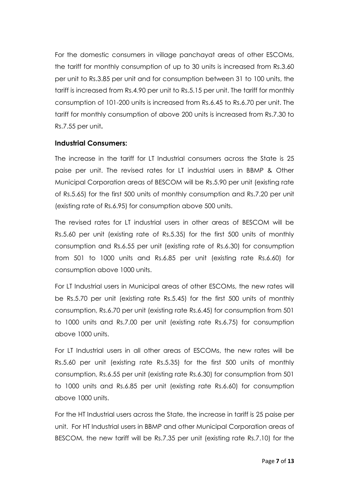For the domestic consumers in village panchayat areas of other ESCOMs, the tariff for monthly consumption of up to 30 units is increased from Rs.3.60 per unit to Rs.3.85 per unit and for consumption between 31 to 100 units, the tariff is increased from Rs.4.90 per unit to Rs.5.15 per unit. The tariff for monthly consumption of 101-200 units is increased from Rs.6.45 to Rs.6.70 per unit. The tariff for monthly consumption of above 200 units is increased from Rs.7.30 to Rs.7.55 per unit**.**

### **Industrial Consumers:**

The increase in the tariff for LT Industrial consumers across the State is 25 paise per unit. The revised rates for LT industrial users in BBMP & Other Municipal Corporation areas of BESCOM will be Rs.5.90 per unit (existing rate of Rs.5.65) for the first 500 units of monthly consumption and Rs.7.20 per unit (existing rate of Rs.6.95) for consumption above 500 units.

The revised rates for LT industrial users in other areas of BESCOM will be Rs.5.60 per unit (existing rate of Rs.5.35) for the first 500 units of monthly consumption and Rs.6.55 per unit (existing rate of Rs.6.30) for consumption from 501 to 1000 units and Rs.6.85 per unit (existing rate Rs.6.60) for consumption above 1000 units.

For LT Industrial users in Municipal areas of other ESCOMs, the new rates will be Rs.5.70 per unit (existing rate Rs.5.45) for the first 500 units of monthly consumption, Rs.6.70 per unit (existing rate Rs.6.45) for consumption from 501 to 1000 units and Rs.7.00 per unit (existing rate Rs.6.75) for consumption above 1000 units.

For LT Industrial users in all other areas of ESCOMs, the new rates will be Rs.5.60 per unit (existing rate Rs.5.35) for the first 500 units of monthly consumption, Rs.6.55 per unit (existing rate Rs.6.30) for consumption from 501 to 1000 units and Rs.6.85 per unit (existing rate Rs.6.60) for consumption above 1000 units.

For the HT Industrial users across the State, the increase in tariff is 25 paise per unit. For HT Industrial users in BBMP and other Municipal Corporation areas of BESCOM, the new tariff will be Rs.7.35 per unit (existing rate Rs.7.10) for the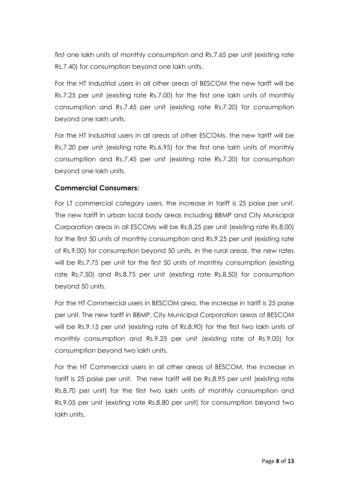first one lakh units of monthly consumption and Rs.7.65 per unit (existing rate Rs.7.40) for consumption beyond one lakh units.

For the HT Industrial users in all other areas of BESCOM the new tariff will be Rs.7.25 per unit (existing rate Rs.7.00) for the first one lakh units of monthly consumption and Rs.7.45 per unit (existing rate Rs.7.20) for consumption beyond one lakh units.

For the HT Industrial users in all areas of other ESCOMs, the new tariff will be Rs.7.20 per unit (existing rate Rs.6.95) for the first one lakh units of monthly consumption and Rs.7.45 per unit (existing rate Rs.7.20) for consumption beyond one lakh units.

# **Commercial Consumers:**

For LT commercial category users, the increase in tariff is 25 paise per unit. The new tariff in urban local body areas including BBMP and City Municipal Corporation areas in all ESCOMs will be Rs.8.25 per unit (existing rate Rs.8.00) for the first 50 units of monthly consumption and Rs.9.25 per unit (existing rate of Rs.9.00) for consumption beyond 50 units. In the rural areas, the new rates will be Rs.7.75 per unit for the first 50 units of monthly consumption (existing rate Rs.7.50) and Rs.8.75 per unit (existing rate Rs.8.50) for consumption beyond 50 units.

For the HT Commercial users in BESCOM area, the increase in tariff is 25 paise per unit. The new tariff in BBMP, City Municipal Corporation areas of BESCOM will be Rs.9.15 per unit (existing rate of Rs.8.90) for the first two lakh units of monthly consumption and Rs.9.25 per unit (existing rate of Rs.9.00) for consumption beyond two lakh units.

For the HT Commercial users in all other areas of BESCOM, the increase in tariff is 25 paise per unit. The new tariff will be Rs.8.95 per unit (existing rate Rs.8.70 per unit) for the first two lakh units of monthly consumption and Rs.9.05 per unit (existing rate Rs.8.80 per unit) for consumption beyond two lakh units.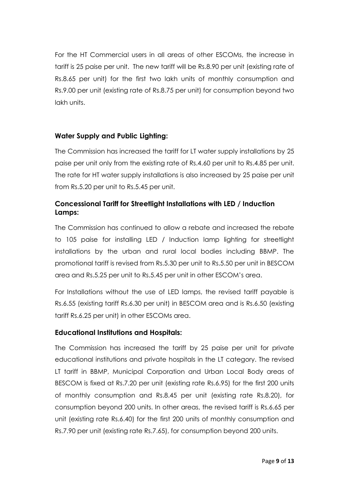For the HT Commercial users in all areas of other ESCOMs, the increase in tariff is 25 paise per unit. The new tariff will be Rs.8.90 per unit (existing rate of Rs.8.65 per unit) for the first two lakh units of monthly consumption and Rs.9.00 per unit (existing rate of Rs.8.75 per unit) for consumption beyond two lakh units.

# **Water Supply and Public Lighting:**

The Commission has increased the tariff for LT water supply installations by 25 paise per unit only from the existing rate of Rs.4.60 per unit to Rs.4.85 per unit. The rate for HT water supply installations is also increased by 25 paise per unit from Rs.5.20 per unit to Rs.5.45 per unit.

# **Concessional Tariff for Streetlight Installations with LED / Induction Lamps:**

The Commission has continued to allow a rebate and increased the rebate to 105 paise for installing LED / Induction lamp lighting for streetlight installations by the urban and rural local bodies including BBMP. The promotional tariff is revised from Rs.5.30 per unit to Rs.5.50 per unit in BESCOM area and Rs.5.25 per unit to Rs.5.45 per unit in other ESCOM's area.

For Installations without the use of LED lamps, the revised tariff payable is Rs.6.55 (existing tariff Rs.6.30 per unit) in BESCOM area and is Rs.6.50 (existing tariff Rs.6.25 per unit) in other ESCOMs area.

# **Educational Institutions and Hospitals:**

The Commission has increased the tariff by 25 paise per unit for private educational institutions and private hospitals in the LT category. The revised LT tariff in BBMP, Municipal Corporation and Urban Local Body areas of BESCOM is fixed at Rs.7.20 per unit (existing rate Rs.6.95) for the first 200 units of monthly consumption and Rs.8.45 per unit (existing rate Rs.8.20), for consumption beyond 200 units. In other areas, the revised tariff is Rs.6.65 per unit (existing rate Rs.6.40) for the first 200 units of monthly consumption and Rs.7.90 per unit (existing rate Rs.7.65), for consumption beyond 200 units.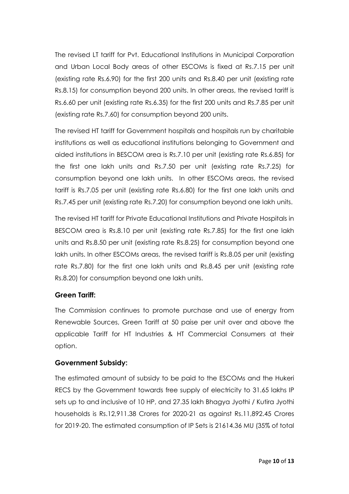The revised LT tariff for Pvt. Educational Institutions in Municipal Corporation and Urban Local Body areas of other ESCOMs is fixed at Rs.7.15 per unit (existing rate Rs.6.90) for the first 200 units and Rs.8.40 per unit (existing rate Rs.8.15) for consumption beyond 200 units. In other areas, the revised tariff is Rs.6.60 per unit (existing rate Rs.6.35) for the first 200 units and Rs.7.85 per unit (existing rate Rs.7.60) for consumption beyond 200 units.

The revised HT tariff for Government hospitals and hospitals run by charitable institutions as well as educational institutions belonging to Government and aided institutions in BESCOM area is Rs.7.10 per unit (existing rate Rs.6.85) for the first one lakh units and Rs.7.50 per unit (existing rate Rs.7.25) for consumption beyond one lakh units. In other ESCOMs areas, the revised tariff is Rs.7.05 per unit (existing rate Rs.6.80) for the first one lakh units and Rs.7.45 per unit (existing rate Rs.7.20) for consumption beyond one lakh units.

The revised HT tariff for Private Educational Institutions and Private Hospitals in BESCOM area is Rs.8.10 per unit (existing rate Rs.7.85) for the first one lakh units and Rs.8.50 per unit (existing rate Rs.8.25) for consumption beyond one lakh units. In other ESCOMs areas, the revised tariff is Rs.8.05 per unit (existing rate Rs.7.80) for the first one lakh units and Rs.8.45 per unit (existing rate Rs.8.20) for consumption beyond one lakh units.

# **Green Tariff:**

The Commission continues to promote purchase and use of energy from Renewable Sources, Green Tariff at 50 paise per unit over and above the applicable Tariff for HT Industries & HT Commercial Consumers at their option.

# **Government Subsidy:**

The estimated amount of subsidy to be paid to the ESCOMs and the Hukeri RECS by the Government towards free supply of electricity to 31.65 lakhs IP sets up to and inclusive of 10 HP, and 27.35 lakh Bhagya Jyothi / Kutira Jyothi households is Rs.12,911.38 Crores for 2020-21 as against Rs.11,892.45 Crores for 2019-20. The estimated consumption of IP Sets is 21614.36 MU (35% of total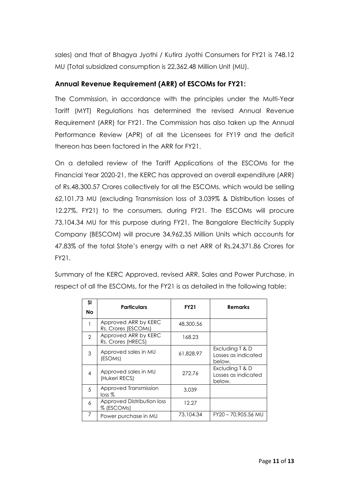sales) and that of Bhagya Jyothi / Kutira Jyothi Consumers for FY21 is 748.12 MU (Total subsidized consumption is 22,362.48 Million Unit (MU).

# **Annual Revenue Requirement (ARR) of ESCOMs for FY21:**

The Commission, in accordance with the principles under the Multi-Year Tariff (MYT) Regulations has determined the revised Annual Revenue Requirement (ARR) for FY21. The Commission has also taken up the Annual Performance Review (APR) of all the Licensees for FY19 and the deficit thereon has been factored in the ARR for FY21.

On a detailed review of the Tariff Applications of the ESCOMs for the Financial Year 2020-21, the KERC has approved an overall expenditure (ARR) of Rs.48,300.57 Crores collectively for all the ESCOMs, which would be selling 62,101.73 MU (excluding Transmission loss of 3.039% & Distribution losses of 12.27%, FY21) to the consumers, during FY21. The ESCOMs will procure 73,104.34 MU for this purpose during FY21. The Bangalore Electricity Supply Company (BESCOM) will procure 34,962.35 Million Units which accounts for 47.83% of the total State's energy with a net ARR of Rs.24,371.86 Crores for FY21.

Summary of the KERC Approved, revised ARR, Sales and Power Purchase, in respect of all the ESCOMs, for the FY21 is as detailed in the following table:

| SI            | <b>Particulars</b>                          | <b>FY21</b> | <b>Remarks</b>                                   |  |
|---------------|---------------------------------------------|-------------|--------------------------------------------------|--|
| <b>No</b>     |                                             |             |                                                  |  |
|               | Approved ARR by KERC<br>Rs. Crores (ESCOMs) | 48,300.56   |                                                  |  |
| $\mathcal{P}$ | Approved ARR by KERC<br>Rs. Crores (HRECS)  | 168.23      |                                                  |  |
| 3             | Approved sales in MU<br>(ESOMs)             | 61,828.97   | Excluding T & D<br>Losses as indicated<br>below. |  |
| 4             | Approved sales in MU<br>(Hukeri RECS)       | 272.76      | Excluding T & D<br>Losses as indicated<br>below. |  |
| 5             | Approved Transmission<br>loss %             | 3.039       |                                                  |  |
| 6             | Approved Distribution loss<br>% (ESCOMs)    | 12.27       |                                                  |  |
| 7             | Power purchase in MU                        | 73,104.34   | FY20 - 70,905.56 MU                              |  |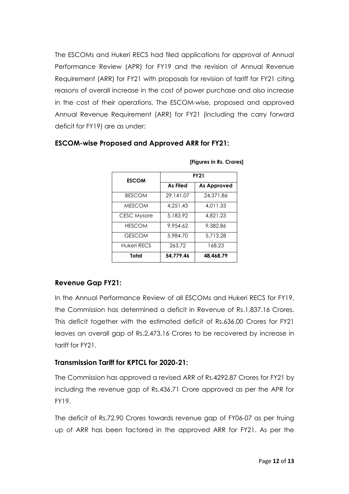The ESCOMs and Hukeri RECS had filed applications for approval of Annual Performance Review (APR) for FY19 and the revision of Annual Revenue Requirement (ARR) for FY21 with proposals for revision of tariff for FY21 citing reasons of overall increase in the cost of power purchase and also increase in the cost of their operations. The ESCOM-wise, proposed and approved Annual Revenue Requirement (ARR) for FY21 (including the carry forward deficit for FY19) are as under:

| <b>ESCOM</b>       | <b>FY21</b>     |                    |  |
|--------------------|-----------------|--------------------|--|
|                    | <b>As Filed</b> | <b>As Approved</b> |  |
| <b>BESCOM</b>      | 29,141.07       | 24,371.86          |  |
| <b>MESCOM</b>      | 4.251.43        | 4.011.33           |  |
| <b>CESC Mysore</b> | 5,183.92        | 4.821.23           |  |
| <b>HESCOM</b>      | 9.954.62        | 9.382.86           |  |
| <b>GESCOM</b>      | 5,984.70        | 5.713.28           |  |
| Hukeri RECS        | 263.72          | 168.23             |  |
| Total              | 54,779.46       | 48.468.79          |  |

**[Figures in Rs. Crores]**

### **ESCOM-wise Proposed and Approved ARR for FY21:**

### **Revenue Gap FY21:**

In the Annual Performance Review of all ESCOMs and Hukeri RECS for FY19, the Commission has determined a deficit in Revenue of Rs.1,837.16 Crores. This deficit together with the estimated deficit of Rs.636.00 Crores for FY21 leaves an overall gap of Rs.2,473.16 Crores to be recovered by increase in tariff for FY21.

### **Transmission Tariff for KPTCL for 2020-21:**

The Commission has approved a revised ARR of Rs.4292.87 Crores for FY21 by including the revenue gap of Rs.436.71 Crore approved as per the APR for FY19.

The deficit of Rs.72.90 Crores towards revenue gap of FY06-07 as per truing up of ARR has been factored in the approved ARR for FY21. As per the